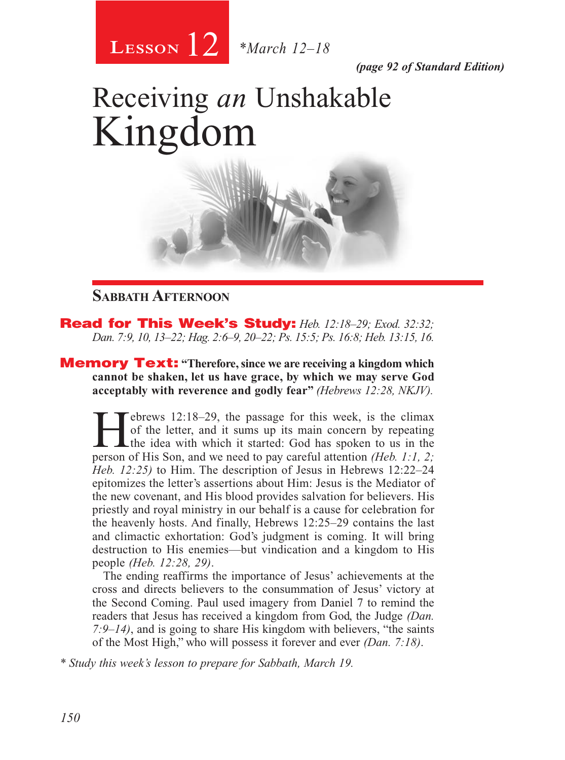

*(page 92 of Standard Edition)*

# Receiving *an* Unshakable Kingdom



#### **Sabbath Afternoon**

Read for This Week's Study: *Heb. 12:18–29; Exod. 32:32; Dan. 7:9, 10, 13–22; Hag. 2:6–9, 20–22; Ps. 15:5; Ps. 16:8; Heb. 13:15, 16.*

Memory Text: **"Therefore, since we are receiving a kingdom which cannot be shaken, let us have grace, by which we may serve God acceptably with reverence and godly fear"** *(Hebrews 12:28, NKJV).*

**Hebrews 12:18–29, the passage for this week, is the climax** of the letter, and it sums up its main concern by repeating the idea with which it started: God has spoken to us in the parson of His Son and we need to pay car of the letter, and it sums up its main concern by repeating person of His Son, and we need to pay careful attention *(Heb. 1:1, 2; Heb. 12:25)* to Him. The description of Jesus in Hebrews 12:22–24 epitomizes the letter's assertions about Him: Jesus is the Mediator of the new covenant, and His blood provides salvation for believers. His priestly and royal ministry in our behalf is a cause for celebration for the heavenly hosts. And finally, Hebrews 12:25–29 contains the last and climactic exhortation: God's judgment is coming. It will bring destruction to His enemies—but vindication and a kingdom to His people *(Heb. 12:28, 29)*.

The ending reaffirms the importance of Jesus' achievements at the cross and directs believers to the consummation of Jesus' victory at the Second Coming. Paul used imagery from Daniel 7 to remind the readers that Jesus has received a kingdom from God, the Judge *(Dan. 7:9–14)*, and is going to share His kingdom with believers, "the saints of the Most High," who will possess it forever and ever *(Dan. 7:18)*.

*\* Study this week's lesson to prepare for Sabbath, March 19.*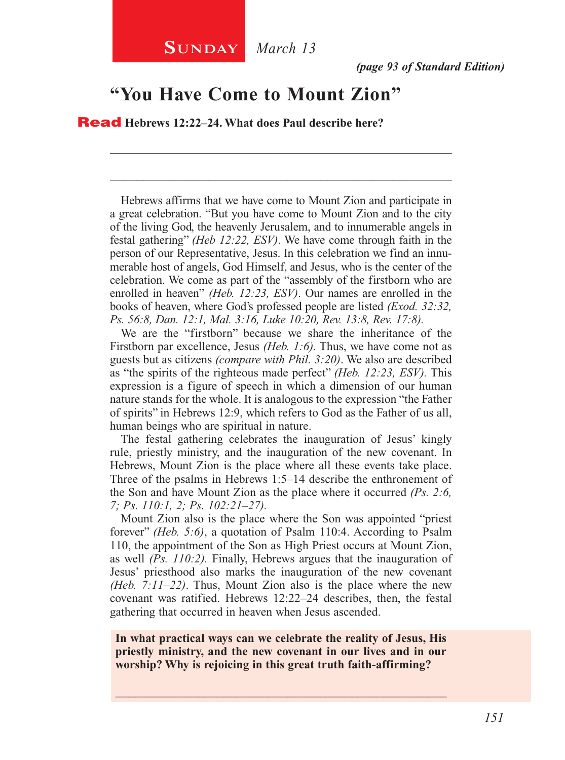\_\_\_\_\_\_\_\_\_\_\_\_\_\_\_\_\_\_\_\_\_\_\_\_\_\_\_\_\_\_\_\_\_\_\_\_\_\_\_\_\_\_\_\_\_\_\_\_\_\_\_\_

\_\_\_\_\_\_\_\_\_\_\_\_\_\_\_\_\_\_\_\_\_\_\_\_\_\_\_\_\_\_\_\_\_\_\_\_\_\_\_\_\_\_\_\_\_\_\_\_\_\_\_\_

### **"You Have Come to Mount Zion"**

Read **Hebrews 12:22–24. What does Paul describe here?**

Hebrews affirms that we have come to Mount Zion and participate in a great celebration. "But you have come to Mount Zion and to the city of the living God, the heavenly Jerusalem, and to innumerable angels in festal gathering" *(Heb 12:22, ESV)*. We have come through faith in the person of our Representative, Jesus. In this celebration we find an innumerable host of angels, God Himself, and Jesus, who is the center of the celebration. We come as part of the "assembly of the firstborn who are enrolled in heaven" *(Heb. 12:23, ESV)*. Our names are enrolled in the books of heaven, where God's professed people are listed *(Exod. 32:32, Ps. 56:8, Dan. 12:1, Mal. 3:16, Luke 10:20, Rev. 13:8, Rev. 17:8).*

We are the "firstborn" because we share the inheritance of the Firstborn par excellence, Jesus *(Heb. 1:6).* Thus, we have come not as guests but as citizens *(compare with Phil. 3:20)*. We also are described as "the spirits of the righteous made perfect" *(Heb. 12:23, ESV).* This expression is a figure of speech in which a dimension of our human nature stands for the whole. It is analogous to the expression "the Father of spirits" in Hebrews 12:9, which refers to God as the Father of us all, human beings who are spiritual in nature.

The festal gathering celebrates the inauguration of Jesus' kingly rule, priestly ministry, and the inauguration of the new covenant. In Hebrews, Mount Zion is the place where all these events take place. Three of the psalms in Hebrews 1:5–14 describe the enthronement of the Son and have Mount Zion as the place where it occurred *(Ps. 2:6, 7; Ps. 110:1, 2; Ps. 102:21–27).*

Mount Zion also is the place where the Son was appointed "priest forever" *(Heb. 5:6)*, a quotation of Psalm 110:4. According to Psalm 110, the appointment of the Son as High Priest occurs at Mount Zion, as well *(Ps. 110:2).* Finally, Hebrews argues that the inauguration of Jesus' priesthood also marks the inauguration of the new covenant *(Heb. 7:11–22)*. Thus, Mount Zion also is the place where the new covenant was ratified. Hebrews 12:22–24 describes, then, the festal gathering that occurred in heaven when Jesus ascended.

**In what practical ways can we celebrate the reality of Jesus, His priestly ministry, and the new covenant in our lives and in our worship? Why is rejoicing in this great truth faith-affirming?**

\_\_\_\_\_\_\_\_\_\_\_\_\_\_\_\_\_\_\_\_\_\_\_\_\_\_\_\_\_\_\_\_\_\_\_\_\_\_\_\_\_\_\_\_\_\_\_\_\_\_\_\_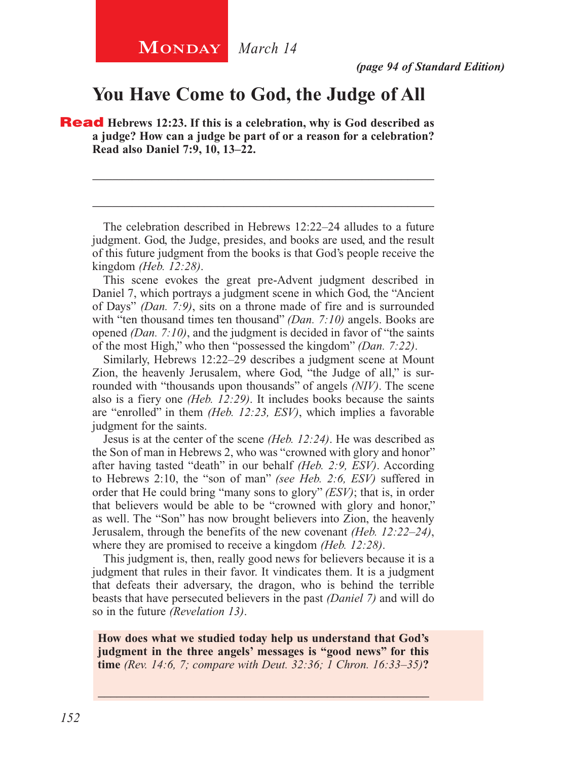## **MONDAY** March 14

*(page 94 of Standard Edition)*

#### **You Have Come to God, the Judge of All**

**Read** Hebrews 12:23. If this is a celebration, why is God described as **a judge? How can a judge be part of or a reason for a celebration? Read also Daniel 7:9, 10, 13–22.**

The celebration described in Hebrews 12:22–24 alludes to a future judgment. God, the Judge, presides, and books are used, and the result of this future judgment from the books is that God's people receive the kingdom *(Heb. 12:28)*.

\_\_\_\_\_\_\_\_\_\_\_\_\_\_\_\_\_\_\_\_\_\_\_\_\_\_\_\_\_\_\_\_\_\_\_\_\_\_\_\_\_\_\_\_\_\_\_\_\_\_\_\_

\_\_\_\_\_\_\_\_\_\_\_\_\_\_\_\_\_\_\_\_\_\_\_\_\_\_\_\_\_\_\_\_\_\_\_\_\_\_\_\_\_\_\_\_\_\_\_\_\_\_\_\_

This scene evokes the great pre-Advent judgment described in Daniel 7, which portrays a judgment scene in which God, the "Ancient of Days" *(Dan. 7:9)*, sits on a throne made of fire and is surrounded with "ten thousand times ten thousand" *(Dan. 7:10)* angels. Books are opened *(Dan. 7:10)*, and the judgment is decided in favor of "the saints of the most High," who then "possessed the kingdom" *(Dan. 7:22)*.

Similarly, Hebrews 12:22–29 describes a judgment scene at Mount Zion, the heavenly Jerusalem, where God, "the Judge of all," is surrounded with "thousands upon thousands" of angels *(NIV)*. The scene also is a fiery one *(Heb. 12:29)*. It includes books because the saints are "enrolled" in them *(Heb. 12:23, ESV)*, which implies a favorable judgment for the saints.

Jesus is at the center of the scene *(Heb. 12:24)*. He was described as the Son of man in Hebrews 2, who was "crowned with glory and honor" after having tasted "death" in our behalf *(Heb. 2:9, ESV)*. According to Hebrews 2:10, the "son of man" *(see Heb. 2:6, ESV)* suffered in order that He could bring "many sons to glory" *(ESV)*; that is, in order that believers would be able to be "crowned with glory and honor," as well. The "Son" has now brought believers into Zion, the heavenly Jerusalem, through the benefits of the new covenant *(Heb. 12:22–24)*, where they are promised to receive a kingdom *(Heb. 12:28)*.

This judgment is, then, really good news for believers because it is a judgment that rules in their favor. It vindicates them. It is a judgment that defeats their adversary, the dragon, who is behind the terrible beasts that have persecuted believers in the past *(Daniel 7)* and will do so in the future *(Revelation 13)*.

**How does what we studied today help us understand that God's judgment in the three angels' messages is "good news" for this time** *(Rev. 14:6, 7; compare with Deut. 32:36; 1 Chron. 16:33–35)***?**

\_\_\_\_\_\_\_\_\_\_\_\_\_\_\_\_\_\_\_\_\_\_\_\_\_\_\_\_\_\_\_\_\_\_\_\_\_\_\_\_\_\_\_\_\_\_\_\_\_\_\_\_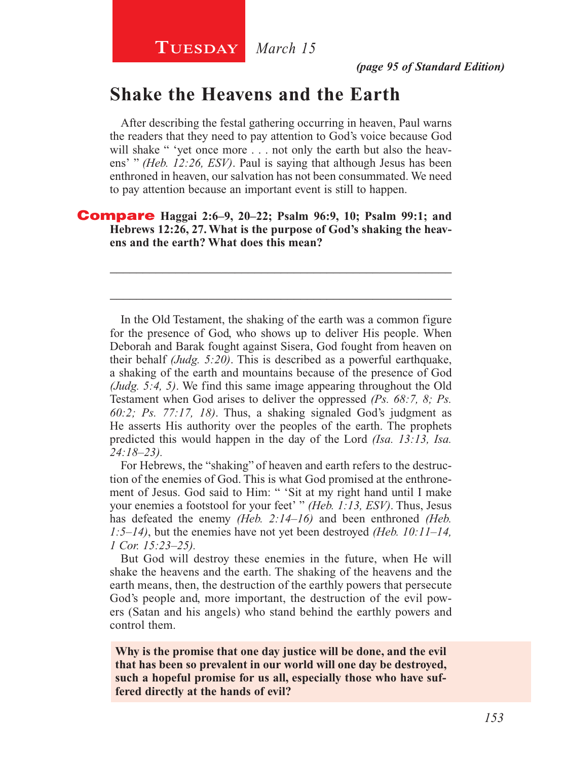*(page 95 of Standard Edition)*

### **Shake the Heavens and the Earth**

After describing the festal gathering occurring in heaven, Paul warns the readers that they need to pay attention to God's voice because God will shake " 'yet once more . . . not only the earth but also the heavens' " *(Heb. 12:26, ESV)*. Paul is saying that although Jesus has been enthroned in heaven, our salvation has not been consummated. We need to pay attention because an important event is still to happen.

#### Compare **Haggai 2:6–9, 20–22; Psalm 96:9, 10; Psalm 99:1; and Hebrews 12:26, 27. What is the purpose of God's shaking the heavens and the earth? What does this mean?**

\_\_\_\_\_\_\_\_\_\_\_\_\_\_\_\_\_\_\_\_\_\_\_\_\_\_\_\_\_\_\_\_\_\_\_\_\_\_\_\_\_\_\_\_\_\_\_\_\_\_\_\_

\_\_\_\_\_\_\_\_\_\_\_\_\_\_\_\_\_\_\_\_\_\_\_\_\_\_\_\_\_\_\_\_\_\_\_\_\_\_\_\_\_\_\_\_\_\_\_\_\_\_\_\_

In the Old Testament, the shaking of the earth was a common figure for the presence of God, who shows up to deliver His people. When Deborah and Barak fought against Sisera, God fought from heaven on their behalf *(Judg. 5:20)*. This is described as a powerful earthquake, a shaking of the earth and mountains because of the presence of God *(Judg. 5:4, 5)*. We find this same image appearing throughout the Old Testament when God arises to deliver the oppressed *(Ps. 68:7, 8; Ps. 60:2; Ps. 77:17, 18)*. Thus, a shaking signaled God's judgment as He asserts His authority over the peoples of the earth. The prophets predicted this would happen in the day of the Lord *(Isa. 13:13, Isa. 24:18–23).*

For Hebrews, the "shaking" of heaven and earth refers to the destruction of the enemies of God. This is what God promised at the enthronement of Jesus. God said to Him: " 'Sit at my right hand until I make your enemies a footstool for your feet' " *(Heb. 1:13, ESV)*. Thus, Jesus has defeated the enemy *(Heb. 2:14–16)* and been enthroned *(Heb. 1:5–14)*, but the enemies have not yet been destroyed *(Heb. 10:11–14, 1 Cor. 15:23–25).*

But God will destroy these enemies in the future, when He will shake the heavens and the earth. The shaking of the heavens and the earth means, then, the destruction of the earthly powers that persecute God's people and, more important, the destruction of the evil powers (Satan and his angels) who stand behind the earthly powers and control them.

**Why is the promise that one day justice will be done, and the evil that has been so prevalent in our world will one day be destroyed, such a hopeful promise for us all, especially those who have suffered directly at the hands of evil?**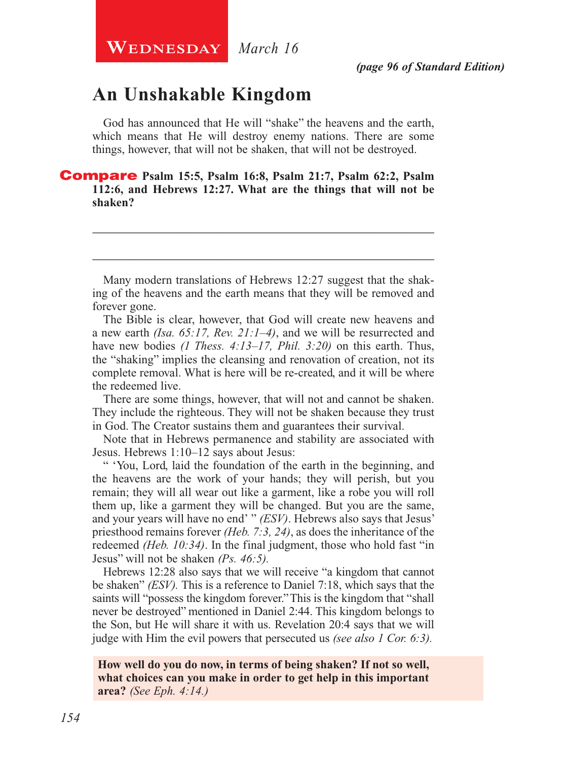#### **An Unshakable Kingdom**

God has announced that He will "shake" the heavens and the earth, which means that He will destroy enemy nations. There are some things, however, that will not be shaken, that will not be destroyed.

Compare **Psalm 15:5, Psalm 16:8, Psalm 21:7, Psalm 62:2, Psalm 112:6, and Hebrews 12:27. What are the things that will not be shaken?**

Many modern translations of Hebrews 12:27 suggest that the shaking of the heavens and the earth means that they will be removed and forever gone.

\_\_\_\_\_\_\_\_\_\_\_\_\_\_\_\_\_\_\_\_\_\_\_\_\_\_\_\_\_\_\_\_\_\_\_\_\_\_\_\_\_\_\_\_\_\_\_\_\_\_\_\_

\_\_\_\_\_\_\_\_\_\_\_\_\_\_\_\_\_\_\_\_\_\_\_\_\_\_\_\_\_\_\_\_\_\_\_\_\_\_\_\_\_\_\_\_\_\_\_\_\_\_\_\_

The Bible is clear, however, that God will create new heavens and a new earth *(Isa. 65:17, Rev. 21:1–4)*, and we will be resurrected and have new bodies *(1 Thess. 4:13–17, Phil. 3:20)* on this earth. Thus, the "shaking" implies the cleansing and renovation of creation, not its complete removal. What is here will be re-created, and it will be where the redeemed live.

There are some things, however, that will not and cannot be shaken. They include the righteous. They will not be shaken because they trust in God. The Creator sustains them and guarantees their survival.

Note that in Hebrews permanence and stability are associated with Jesus. Hebrews 1:10–12 says about Jesus:

" 'You, Lord, laid the foundation of the earth in the beginning, and the heavens are the work of your hands; they will perish, but you remain; they will all wear out like a garment, like a robe you will roll them up, like a garment they will be changed. But you are the same, and your years will have no end' " *(ESV)*. Hebrews also says that Jesus' priesthood remains forever *(Heb. 7:3, 24)*, as does the inheritance of the redeemed *(Heb. 10:34)*. In the final judgment, those who hold fast "in Jesus" will not be shaken *(Ps. 46:5).*

Hebrews 12:28 also says that we will receive "a kingdom that cannot be shaken" *(ESV).* This is a reference to Daniel 7:18, which says that the saints will "possess the kingdom forever." This is the kingdom that "shall never be destroyed" mentioned in Daniel 2:44. This kingdom belongs to the Son, but He will share it with us. Revelation 20:4 says that we will judge with Him the evil powers that persecuted us *(see also 1 Cor. 6:3).*

**How well do you do now, in terms of being shaken? If not so well, what choices can you make in order to get help in this important area?** *(See Eph. 4:14.)*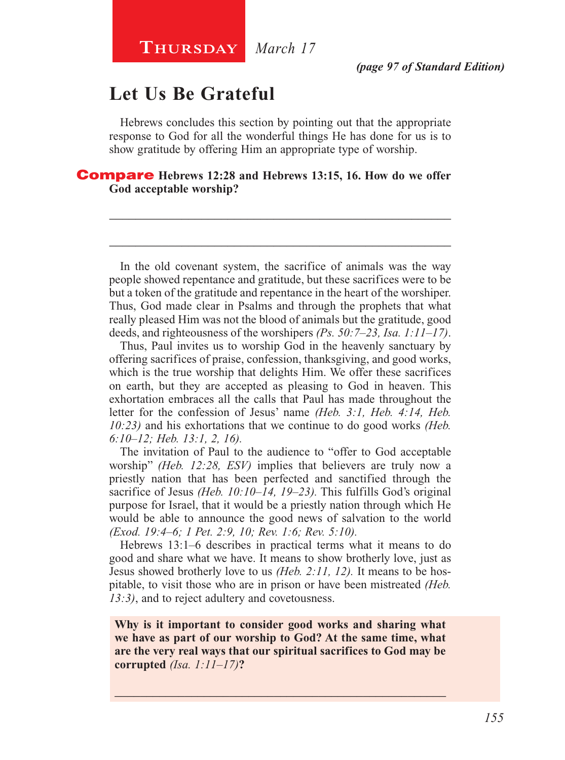#### **Let Us Be Grateful**

Hebrews concludes this section by pointing out that the appropriate response to God for all the wonderful things He has done for us is to show gratitude by offering Him an appropriate type of worship.

\_\_\_\_\_\_\_\_\_\_\_\_\_\_\_\_\_\_\_\_\_\_\_\_\_\_\_\_\_\_\_\_\_\_\_\_\_\_\_\_\_\_\_\_\_\_\_\_\_\_\_\_

\_\_\_\_\_\_\_\_\_\_\_\_\_\_\_\_\_\_\_\_\_\_\_\_\_\_\_\_\_\_\_\_\_\_\_\_\_\_\_\_\_\_\_\_\_\_\_\_\_\_\_\_

#### Compare **Hebrews 12:28 and Hebrews 13:15, 16. How do we offer God acceptable worship?**

In the old covenant system, the sacrifice of animals was the way people showed repentance and gratitude, but these sacrifices were to be but a token of the gratitude and repentance in the heart of the worshiper. Thus, God made clear in Psalms and through the prophets that what really pleased Him was not the blood of animals but the gratitude, good deeds, and righteousness of the worshipers *(Ps. 50:7–23, Isa. 1:11–17)*.

Thus, Paul invites us to worship God in the heavenly sanctuary by offering sacrifices of praise, confession, thanksgiving, and good works, which is the true worship that delights Him. We offer these sacrifices on earth, but they are accepted as pleasing to God in heaven. This exhortation embraces all the calls that Paul has made throughout the letter for the confession of Jesus' name *(Heb. 3:1, Heb. 4:14, Heb. 10:23)* and his exhortations that we continue to do good works *(Heb. 6:10–12; Heb. 13:1, 2, 16).*

The invitation of Paul to the audience to "offer to God acceptable worship" *(Heb. 12:28, ESV)* implies that believers are truly now a priestly nation that has been perfected and sanctified through the sacrifice of Jesus *(Heb. 10:10–14, 19–23).* This fulfills God's original purpose for Israel, that it would be a priestly nation through which He would be able to announce the good news of salvation to the world *(Exod. 19:4–6; 1 Pet. 2:9, 10; Rev. 1:6; Rev. 5:10).*

Hebrews 13:1–6 describes in practical terms what it means to do good and share what we have. It means to show brotherly love, just as Jesus showed brotherly love to us *(Heb. 2:11, 12).* It means to be hospitable, to visit those who are in prison or have been mistreated *(Heb. 13:3)*, and to reject adultery and covetousness.

**Why is it important to consider good works and sharing what we have as part of our worship to God? At the same time, what are the very real ways that our spiritual sacrifices to God may be corrupted** *(Isa. 1:11–17)***?**

\_\_\_\_\_\_\_\_\_\_\_\_\_\_\_\_\_\_\_\_\_\_\_\_\_\_\_\_\_\_\_\_\_\_\_\_\_\_\_\_\_\_\_\_\_\_\_\_\_\_\_\_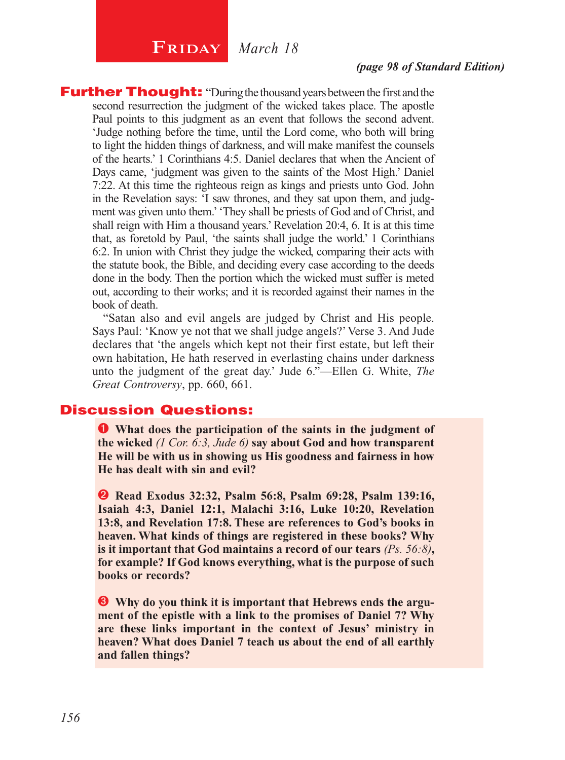## $\begin{array}{|c|c|c|}\n \textbf{FRIDAY} & \textit{March 18} \\
\end{array}$

#### *(page 98 of Standard Edition)*

**Further Thought:** "During the thousand years between the first and the second resurrection the judgment of the wicked takes place. The apostle Paul points to this judgment as an event that follows the second advent. 'Judge nothing before the time, until the Lord come, who both will bring to light the hidden things of darkness, and will make manifest the counsels of the hearts.' 1 Corinthians 4:5. Daniel declares that when the Ancient of Days came, 'judgment was given to the saints of the Most High.' Daniel 7:22. At this time the righteous reign as kings and priests unto God. John in the Revelation says: 'I saw thrones, and they sat upon them, and judgment was given unto them.' 'They shall be priests of God and of Christ, and shall reign with Him a thousand years.' Revelation 20:4, 6. It is at this time that, as foretold by Paul, 'the saints shall judge the world.' 1 Corinthians 6:2. In union with Christ they judge the wicked, comparing their acts with the statute book, the Bible, and deciding every case according to the deeds done in the body. Then the portion which the wicked must suffer is meted out, according to their works; and it is recorded against their names in the book of death.

"Satan also and evil angels are judged by Christ and His people. Says Paul: 'Know ye not that we shall judge angels?' Verse 3. And Jude declares that 'the angels which kept not their first estate, but left their own habitation, He hath reserved in everlasting chains under darkness unto the judgment of the great day.' Jude 6."—Ellen G. White, *The Great Controversy*, pp. 660, 661.

#### Discussion Questions:

 **What does the participation of the saints in the judgment of the wicked** *(1 Cor. 6:3, Jude 6)* **say about God and how transparent He will be with us in showing us His goodness and fairness in how He has dealt with sin and evil?**

 **Read Exodus 32:32, Psalm 56:8, Psalm 69:28, Psalm 139:16, Isaiah 4:3, Daniel 12:1, Malachi 3:16, Luke 10:20, Revelation 13:8, and Revelation 17:8. These are references to God's books in heaven. What kinds of things are registered in these books? Why is it important that God maintains a record of our tears** *(Ps. 56:8)***, for example? If God knows everything, what is the purpose of such books or records?**

 **Why do you think it is important that Hebrews ends the argument of the epistle with a link to the promises of Daniel 7? Why are these links important in the context of Jesus' ministry in heaven? What does Daniel 7 teach us about the end of all earthly and fallen things?**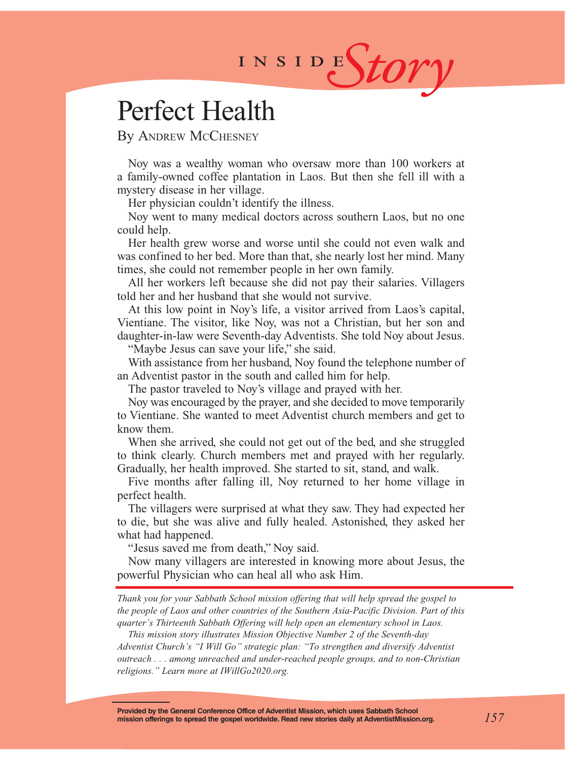# INSIDES*tory*

## Perfect Health

By ANDREW MCCHESNEY

Noy was a wealthy woman who oversaw more than 100 workers at a family-owned coffee plantation in Laos. But then she fell ill with a mystery disease in her village.

Her physician couldn't identify the illness.

Noy went to many medical doctors across southern Laos, but no one could help.

Her health grew worse and worse until she could not even walk and was confined to her bed. More than that, she nearly lost her mind. Many times, she could not remember people in her own family.

All her workers left because she did not pay their salaries. Villagers told her and her husband that she would not survive.

At this low point in Noy's life, a visitor arrived from Laos's capital, Vientiane. The visitor, like Noy, was not a Christian, but her son and daughter-in-law were Seventh-day Adventists. She told Noy about Jesus.

"Maybe Jesus can save your life," she said.

With assistance from her husband, Noy found the telephone number of an Adventist pastor in the south and called him for help.

The pastor traveled to Noy's village and prayed with her.

Noy was encouraged by the prayer, and she decided to move temporarily to Vientiane. She wanted to meet Adventist church members and get to know them.

When she arrived, she could not get out of the bed, and she struggled to think clearly. Church members met and prayed with her regularly. Gradually, her health improved. She started to sit, stand, and walk.

Five months after falling ill, Noy returned to her home village in perfect health.

The villagers were surprised at what they saw. They had expected her to die, but she was alive and fully healed. Astonished, they asked her what had happened.

"Jesus saved me from death," Noy said.

Now many villagers are interested in knowing more about Jesus, the powerful Physician who can heal all who ask Him.

*Thank you for your Sabbath School mission offering that will help spread the gospel to the people of Laos and other countries of the Southern Asia-Pacific Division. Part of this quarter's Thirteenth Sabbath Offering will help open an elementary school in Laos.*

*This mission story illustrates Mission Objective Number 2 of the Seventh-day Adventist Church's "I Will Go" strategic plan: "To strengthen and diversify Adventist outreach . . . among unreached and under-reached people groups, and to non-Christian religions." Learn more at IWillGo2020.org.*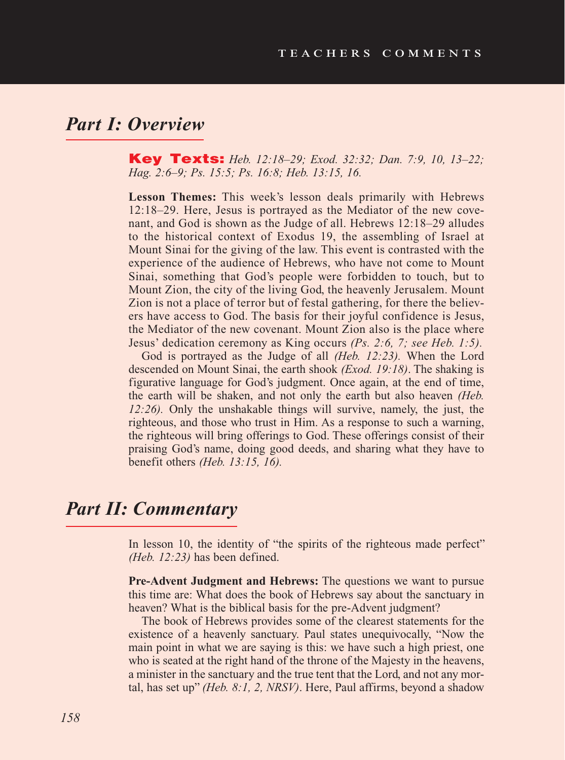#### *Part I: Overview*

Key Texts: *Heb. 12:18–29; Exod. 32:32; Dan. 7:9, 10, 13–22; Hag. 2:6–9; Ps. 15:5; Ps. 16:8; Heb. 13:15, 16.*

**Lesson Themes:** This week's lesson deals primarily with Hebrews 12:18–29. Here, Jesus is portrayed as the Mediator of the new covenant, and God is shown as the Judge of all. Hebrews 12:18–29 alludes to the historical context of Exodus 19, the assembling of Israel at Mount Sinai for the giving of the law. This event is contrasted with the experience of the audience of Hebrews, who have not come to Mount Sinai, something that God's people were forbidden to touch, but to Mount Zion, the city of the living God, the heavenly Jerusalem. Mount Zion is not a place of terror but of festal gathering, for there the believers have access to God. The basis for their joyful confidence is Jesus, the Mediator of the new covenant. Mount Zion also is the place where Jesus' dedication ceremony as King occurs *(Ps. 2:6, 7; see Heb. 1:5).* 

God is portrayed as the Judge of all *(Heb. 12:23).* When the Lord descended on Mount Sinai, the earth shook *(Exod. 19:18)*. The shaking is figurative language for God's judgment. Once again, at the end of time, the earth will be shaken, and not only the earth but also heaven *(Heb. 12:26).* Only the unshakable things will survive, namely, the just, the righteous, and those who trust in Him. As a response to such a warning, the righteous will bring offerings to God. These offerings consist of their praising God's name, doing good deeds, and sharing what they have to benefit others *(Heb. 13:15, 16).*

#### *Part II: Commentary*

In lesson 10, the identity of "the spirits of the righteous made perfect" *(Heb. 12:23)* has been defined.

**Pre-Advent Judgment and Hebrews:** The questions we want to pursue this time are: What does the book of Hebrews say about the sanctuary in heaven? What is the biblical basis for the pre-Advent judgment?

The book of Hebrews provides some of the clearest statements for the existence of a heavenly sanctuary. Paul states unequivocally, "Now the main point in what we are saying is this: we have such a high priest, one who is seated at the right hand of the throne of the Majesty in the heavens, a minister in the sanctuary and the true tent that the Lord, and not any mortal, has set up" *(Heb. 8:1, 2, NRSV)*. Here, Paul affirms, beyond a shadow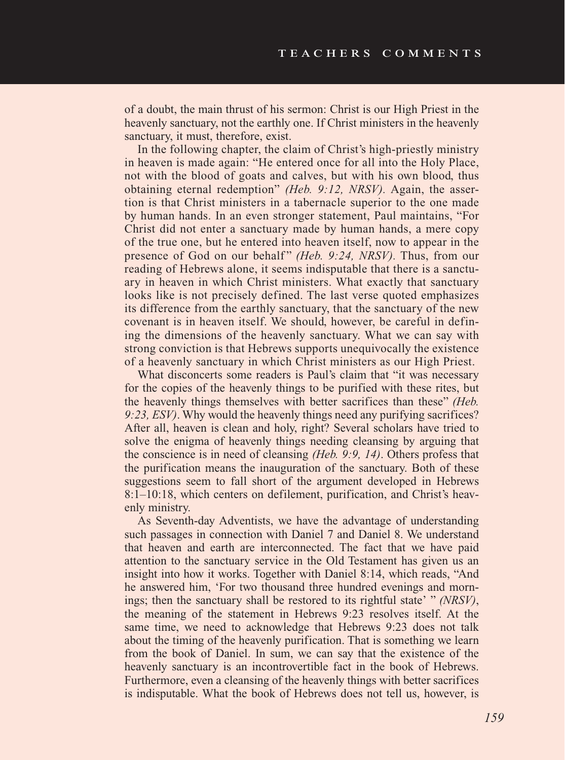of a doubt, the main thrust of his sermon: Christ is our High Priest in the heavenly sanctuary, not the earthly one. If Christ ministers in the heavenly sanctuary, it must, therefore, exist.

In the following chapter, the claim of Christ's high-priestly ministry in heaven is made again: "He entered once for all into the Holy Place, not with the blood of goats and calves, but with his own blood, thus obtaining eternal redemption" *(Heb. 9:12, NRSV).* Again, the assertion is that Christ ministers in a tabernacle superior to the one made by human hands. In an even stronger statement, Paul maintains, "For Christ did not enter a sanctuary made by human hands, a mere copy of the true one, but he entered into heaven itself, now to appear in the presence of God on our behalf " *(Heb. 9:24, NRSV).* Thus, from our reading of Hebrews alone, it seems indisputable that there is a sanctuary in heaven in which Christ ministers. What exactly that sanctuary looks like is not precisely defined. The last verse quoted emphasizes its difference from the earthly sanctuary, that the sanctuary of the new covenant is in heaven itself. We should, however, be careful in defining the dimensions of the heavenly sanctuary. What we can say with strong conviction is that Hebrews supports unequivocally the existence of a heavenly sanctuary in which Christ ministers as our High Priest.

What disconcerts some readers is Paul's claim that "it was necessary for the copies of the heavenly things to be purified with these rites, but the heavenly things themselves with better sacrifices than these" *(Heb. 9:23, ESV)*. Why would the heavenly things need any purifying sacrifices? After all, heaven is clean and holy, right? Several scholars have tried to solve the enigma of heavenly things needing cleansing by arguing that the conscience is in need of cleansing *(Heb. 9:9, 14)*. Others profess that the purification means the inauguration of the sanctuary. Both of these suggestions seem to fall short of the argument developed in Hebrews 8:1–10:18, which centers on defilement, purification, and Christ's heavenly ministry.

As Seventh-day Adventists, we have the advantage of understanding such passages in connection with Daniel 7 and Daniel 8. We understand that heaven and earth are interconnected. The fact that we have paid attention to the sanctuary service in the Old Testament has given us an insight into how it works. Together with Daniel 8:14, which reads, "And he answered him, 'For two thousand three hundred evenings and mornings; then the sanctuary shall be restored to its rightful state' " *(NRSV)*, the meaning of the statement in Hebrews 9:23 resolves itself. At the same time, we need to acknowledge that Hebrews 9:23 does not talk about the timing of the heavenly purification. That is something we learn from the book of Daniel. In sum, we can say that the existence of the heavenly sanctuary is an incontrovertible fact in the book of Hebrews. Furthermore, even a cleansing of the heavenly things with better sacrifices is indisputable. What the book of Hebrews does not tell us, however, is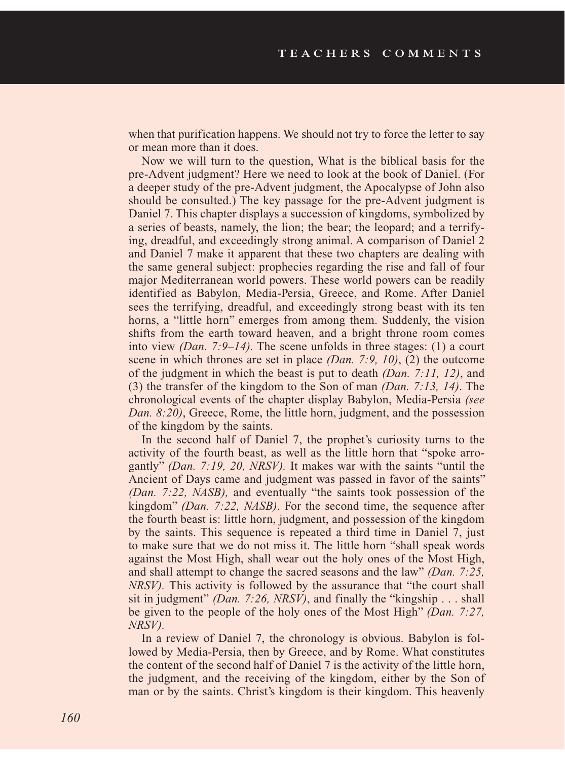when that purification happens. We should not try to force the letter to say or mean more than it does.

Now we will turn to the question, What is the biblical basis for the pre-Advent judgment? Here we need to look at the book of Daniel. (For a deeper study of the pre-Advent judgment, the Apocalypse of John also should be consulted.) The key passage for the pre-Advent judgment is Daniel 7. This chapter displays a succession of kingdoms, symbolized by a series of beasts, namely, the lion; the bear; the leopard; and a terrifying, dreadful, and exceedingly strong animal. A comparison of Daniel 2 and Daniel 7 make it apparent that these two chapters are dealing with the same general subject: prophecies regarding the rise and fall of four major Mediterranean world powers. These world powers can be readily identified as Babylon, Media-Persia, Greece, and Rome. After Daniel sees the terrifying, dreadful, and exceedingly strong beast with its ten horns, a "little horn" emerges from among them. Suddenly, the vision shifts from the earth toward heaven, and a bright throne room comes into view *(Dan. 7:9–14).* The scene unfolds in three stages: (1) a court scene in which thrones are set in place *(Dan. 7:9, 10)*, (2) the outcome of the judgment in which the beast is put to death *(Dan. 7:11, 12)*, and (3) the transfer of the kingdom to the Son of man *(Dan. 7:13, 14)*. The chronological events of the chapter display Babylon, Media-Persia *(see Dan. 8:20)*, Greece, Rome, the little horn, judgment, and the possession of the kingdom by the saints.

In the second half of Daniel 7, the prophet's curiosity turns to the activity of the fourth beast, as well as the little horn that "spoke arrogantly" *(Dan. 7:19, 20, NRSV).* It makes war with the saints "until the Ancient of Days came and judgment was passed in favor of the saints" *(Dan. 7:22, NASB),* and eventually "the saints took possession of the kingdom" *(Dan. 7:22, NASB)*. For the second time, the sequence after the fourth beast is: little horn, judgment, and possession of the kingdom by the saints. This sequence is repeated a third time in Daniel 7, just to make sure that we do not miss it. The little horn "shall speak words against the Most High, shall wear out the holy ones of the Most High, and shall attempt to change the sacred seasons and the law" *(Dan. 7:25, NRSV*). This activity is followed by the assurance that "the court shall sit in judgment" *(Dan. 7:26, NRSV)*, and finally the "kingship . . . shall be given to the people of the holy ones of the Most High" *(Dan. 7:27, NRSV).*

In a review of Daniel 7, the chronology is obvious. Babylon is followed by Media-Persia, then by Greece, and by Rome. What constitutes the content of the second half of Daniel 7 is the activity of the little horn, the judgment, and the receiving of the kingdom, either by the Son of man or by the saints. Christ's kingdom is their kingdom. This heavenly